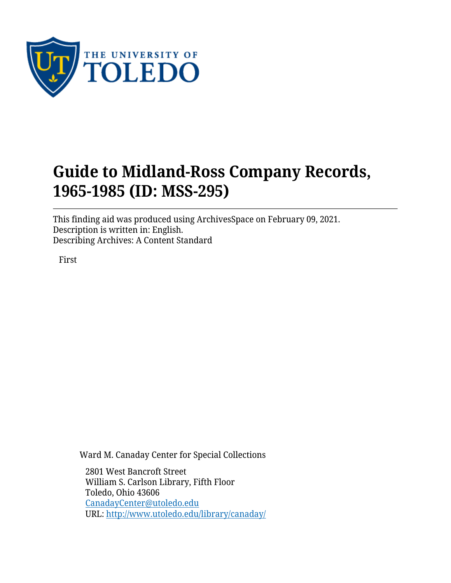

# **Guide to Midland-Ross Company Records, 1965-1985 (ID: MSS-295)**

This finding aid was produced using ArchivesSpace on February 09, 2021. Description is written in: English. Describing Archives: A Content Standard

First

Ward M. Canaday Center for Special Collections

2801 West Bancroft Street William S. Carlson Library, Fifth Floor Toledo, Ohio 43606 [CanadayCenter@utoledo.edu](mailto:CanadayCenter@utoledo.edu) URL:<http://www.utoledo.edu/library/canaday/>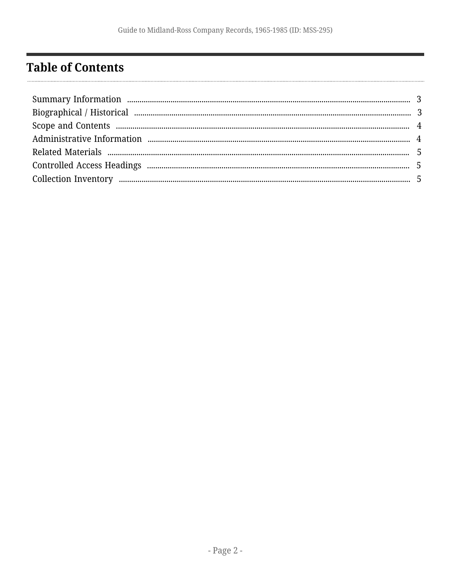# <span id="page-1-0"></span>**Table of Contents**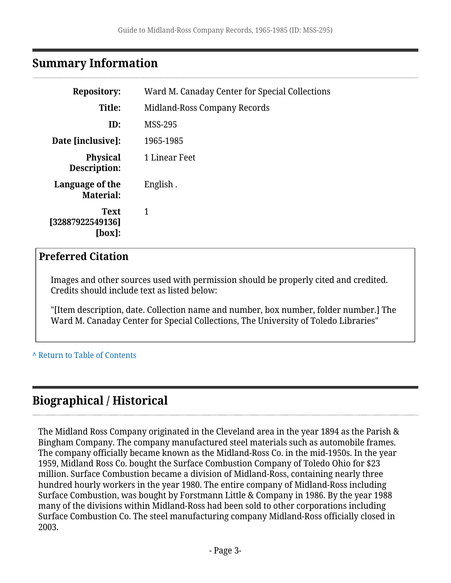### <span id="page-2-0"></span>**Summary Information**

| <b>Repository:</b>                        | Ward M. Canaday Center for Special Collections |  |
|-------------------------------------------|------------------------------------------------|--|
| Title:                                    | Midland-Ross Company Records                   |  |
| ID:                                       | <b>MSS-295</b>                                 |  |
| Date [inclusive]:                         | 1965-1985                                      |  |
| <b>Physical</b><br>Description:           | 1 Linear Feet                                  |  |
| Language of the<br><b>Material:</b>       | English.                                       |  |
| <b>Text</b><br>[32887922549136]<br>[box]: | 1                                              |  |

#### **Preferred Citation**

Images and other sources used with permission should be properly cited and credited. Credits should include text as listed below:

"[Item description, date. Collection name and number, box number, folder number.] The Ward M. Canaday Center for Special Collections, The University of Toledo Libraries"

#### **^** [Return to Table of Contents](#page-1-0)

# <span id="page-2-1"></span>**Biographical / Historical**

The Midland Ross Company originated in the Cleveland area in the year 1894 as the Parish & Bingham Company. The company manufactured steel materials such as automobile frames. The company officially became known as the Midland-Ross Co. in the mid-1950s. In the year 1959, Midland Ross Co. bought the Surface Combustion Company of Toledo Ohio for \$23 million. Surface Combustion became a division of Midland-Ross, containing nearly three hundred hourly workers in the year 1980. The entire company of Midland-Ross including Surface Combustion, was bought by Forstmann Little & Company in 1986. By the year 1988 many of the divisions within Midland-Ross had been sold to other corporations including Surface Combustion Co. The steel manufacturing company Midland-Ross officially closed in 2003.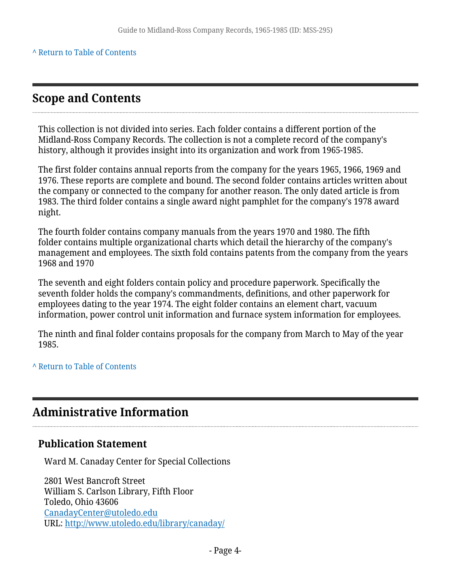#### **^** [Return to Table of Contents](#page-1-0)

### <span id="page-3-0"></span>**Scope and Contents**

This collection is not divided into series. Each folder contains a different portion of the Midland-Ross Company Records. The collection is not a complete record of the company's history, although it provides insight into its organization and work from 1965-1985.

The first folder contains annual reports from the company for the years 1965, 1966, 1969 and 1976. These reports are complete and bound. The second folder contains articles written about the company or connected to the company for another reason. The only dated article is from 1983. The third folder contains a single award night pamphlet for the company's 1978 award night.

The fourth folder contains company manuals from the years 1970 and 1980. The fifth folder contains multiple organizational charts which detail the hierarchy of the company's management and employees. The sixth fold contains patents from the company from the years 1968 and 1970

The seventh and eight folders contain policy and procedure paperwork. Specifically the seventh folder holds the company's commandments, definitions, and other paperwork for employees dating to the year 1974. The eight folder contains an element chart, vacuum information, power control unit information and furnace system information for employees.

The ninth and final folder contains proposals for the company from March to May of the year 1985.

#### **^** [Return to Table of Contents](#page-1-0)

# <span id="page-3-1"></span>**Administrative Information**

#### **Publication Statement**

Ward M. Canaday Center for Special Collections

2801 West Bancroft Street William S. Carlson Library, Fifth Floor Toledo, Ohio 43606 [CanadayCenter@utoledo.edu](mailto:CanadayCenter@utoledo.edu) URL:<http://www.utoledo.edu/library/canaday/>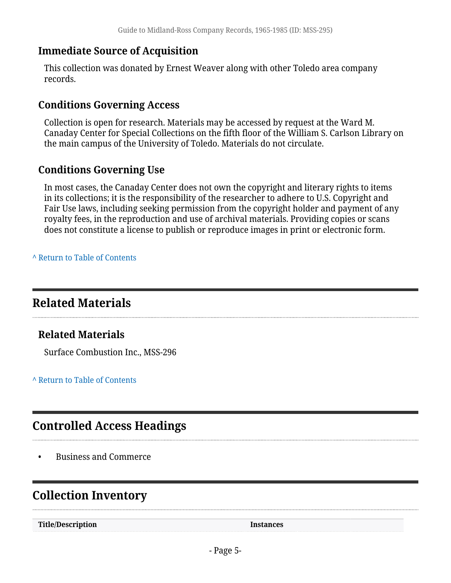### **Immediate Source of Acquisition**

This collection was donated by Ernest Weaver along with other Toledo area company records.

#### **Conditions Governing Access**

Collection is open for research. Materials may be accessed by request at the Ward M. Canaday Center for Special Collections on the fifth floor of the William S. Carlson Library on the main campus of the University of Toledo. Materials do not circulate.

### **Conditions Governing Use**

In most cases, the Canaday Center does not own the copyright and literary rights to items in its collections; it is the responsibility of the researcher to adhere to U.S. Copyright and Fair Use laws, including seeking permission from the copyright holder and payment of any royalty fees, in the reproduction and use of archival materials. Providing copies or scans does not constitute a license to publish or reproduce images in print or electronic form.

**^** [Return to Table of Contents](#page-1-0)

# <span id="page-4-0"></span>**Related Materials**

## **Related Materials**

Surface Combustion Inc., MSS-296

**^** [Return to Table of Contents](#page-1-0)

# <span id="page-4-1"></span>**Controlled Access Headings**

• Business and Commerce

# <span id="page-4-2"></span>**Collection Inventory**

**Title/Description Instances**